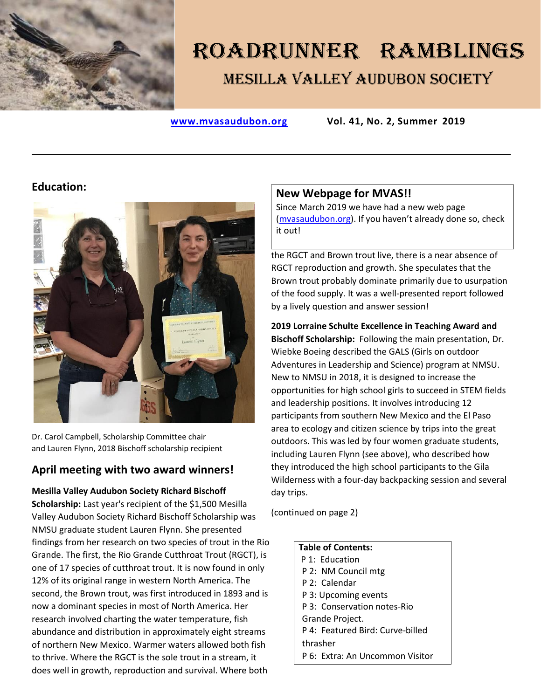

# ROADRUNNER RAMBLINGS Mesilla Valley Audubon Society

**[www.mvasaudubon.org](http://www.mvasaudubon.org/) Vol. 41, No. 2, Summer 2019**

# **Education:**



Dr. Carol Campbell, Scholarship Committee chair and Lauren Flynn, 2018 Bischoff scholarship recipient

# **April meeting with two award winners!**

#### **Mesilla Valley Audubon Society Richard Bischoff**

**Scholarship:** Last year's recipient of the \$1,500 Mesilla Valley Audubon Society Richard Bischoff Scholarship was NMSU graduate student Lauren Flynn. She presented findings from her research on two species of trout in the Rio Grande. The first, the Rio Grande Cutthroat Trout (RGCT), is one of 17 species of cutthroat trout. It is now found in only 12% of its original range in western North America. The second, the Brown trout, was first introduced in 1893 and is now a dominant species in most of North America. Her research involved charting the water temperature, fish abundance and distribution in approximately eight streams of northern New Mexico. Warmer waters allowed both fish to thrive. Where the RGCT is the sole trout in a stream, it does well in growth, reproduction and survival. Where both

# **New Webpage for MVAS!!**

Since March 2019 we have had a new web page [\(mvasaudubon.org\)](https://www.mvasaudubon.org/). If you haven't already done so, check it out!

the RGCT and Brown trout live, there is a near absence of RGCT reproduction and growth. She speculates that the Brown trout probably dominate primarily due to usurpation of the food supply. It was a well-presented report followed by a lively question and answer session!

**2019 Lorraine Schulte Excellence in Teaching Award and Bischoff Scholarship:** Following the main presentation, Dr. Wiebke Boeing described the GALS (Girls on outdoor Adventures in Leadership and Science) program at NMSU. New to NMSU in 2018, it is designed to increase the opportunities for high school girls to succeed in STEM fields and leadership positions. It involves introducing 12 participants from southern New Mexico and the El Paso area to ecology and citizen science by trips into the great outdoors. This was led by four women graduate students, including Lauren Flynn (see above), who described how they introduced the high school participants to the Gila Wilderness with a four-day backpacking session and several day trips.

(continued on page 2)

| <b>Table of Contents:</b>        |
|----------------------------------|
| P 1: Education                   |
| P 2: NM Council mtg              |
| P 2: Calendar                    |
| P 3: Upcoming events             |
| P 3: Conservation notes-Rio      |
| Grande Project.                  |
| P 4: Featured Bird: Curve-billed |
| thrasher                         |
| P 6: Extra: An Uncommon Visitor  |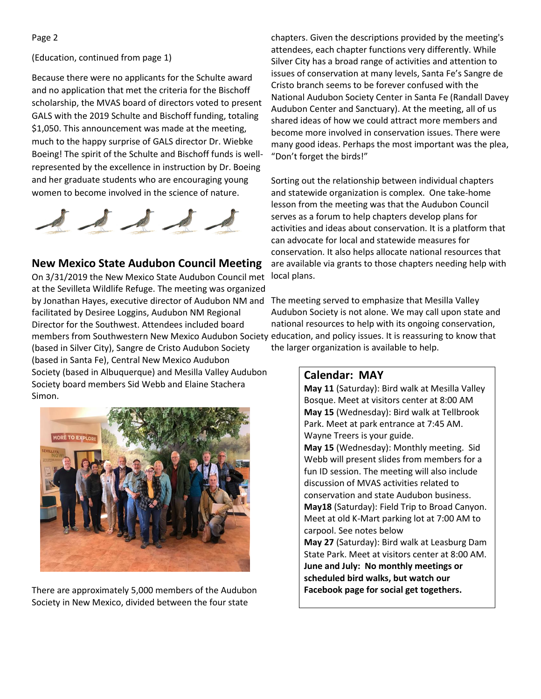#### (Education, continued from page 1)

Because there were no applicants for the Schulte award and no application that met the criteria for the Bischoff scholarship, the MVAS board of directors voted to present GALS with the 2019 Schulte and Bischoff funding, totaling \$1,050. This announcement was made at the meeting, much to the happy surprise of GALS director Dr. Wiebke Boeing! The spirit of the Schulte and Bischoff funds is wellrepresented by the excellence in instruction by Dr. Boeing and her graduate students who are encouraging young women to become involved in the science of nature.



# **New Mexico State Audubon Council Meeting**

On 3/31/2019 the New Mexico State Audubon Council met at the Sevilleta Wildlife Refuge. The meeting was organized by Jonathan Hayes, executive director of Audubon NM and facilitated by Desiree Loggins, Audubon NM Regional Director for the Southwest. Attendees included board members from Southwestern New Mexico Audubon Society education, and policy issues. It is reassuring to know that (based in Silver City), Sangre de Cristo Audubon Society (based in Santa Fe), Central New Mexico Audubon Society (based in Albuquerque) and Mesilla Valley Audubon Society board members Sid Webb and Elaine Stachera Simon.



There are approximately 5,000 members of the Audubon Society in New Mexico, divided between the four state

chapters. Given the descriptions provided by the meeting's attendees, each chapter functions very differently. While Silver City has a broad range of activities and attention to issues of conservation at many levels, Santa Fe's Sangre de Cristo branch seems to be forever confused with the National Audubon Society Center in Santa Fe (Randall Davey Audubon Center and Sanctuary). At the meeting, all of us shared ideas of how we could attract more members and become more involved in conservation issues. There were many good ideas. Perhaps the most important was the plea, "Don't forget the birds!"

Sorting out the relationship between individual chapters and statewide organization is complex. One take-home lesson from the meeting was that the Audubon Council serves as a forum to help chapters develop plans for activities and ideas about conservation. It is a platform that can advocate for local and statewide measures for conservation. It also helps allocate national resources that are available via grants to those chapters needing help with local plans.

The meeting served to emphasize that Mesilla Valley Audubon Society is not alone. We may call upon state and national resources to help with its ongoing conservation, the larger organization is available to help.

#### **Calendar: MAY**

**May 11** (Saturday): Bird walk at Mesilla Valley Bosque. Meet at visitors center at 8:00 AM **May 15** (Wednesday): Bird walk at Tellbrook Park. Meet at park entrance at 7:45 AM. Wayne Treers is your guide.

**May 15** (Wednesday): Monthly meeting. Sid Webb will present slides from members for a fun ID session. The meeting will also include discussion of MVAS activities related to conservation and state Audubon business. **May18** (Saturday): Field Trip to Broad Canyon. Meet at old K-Mart parking lot at 7:00 AM to carpool. See notes below **May 27** (Saturday): Bird walk at Leasburg Dam

State Park. Meet at visitors center at 8:00 AM. **June and July: No monthly meetings or scheduled bird walks, but watch our Facebook page for social get togethers.**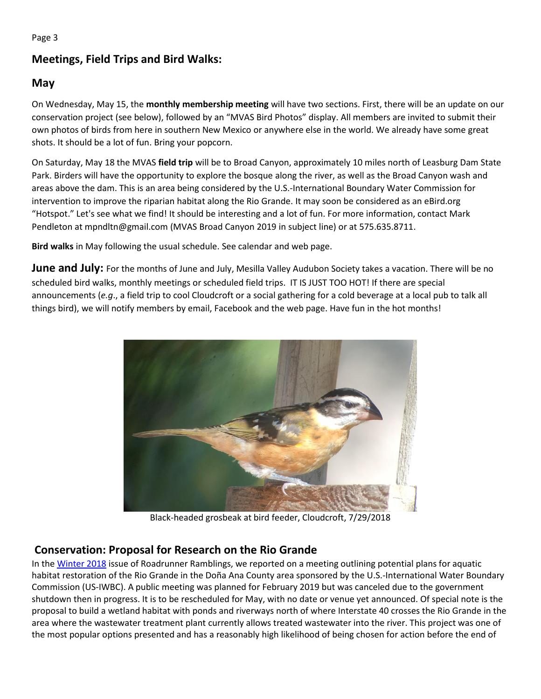# **Meetings, Field Trips and Bird Walks:**

# **May**

On Wednesday, May 15, the **monthly membership meeting** will have two sections. First, there will be an update on our conservation project (see below), followed by an "MVAS Bird Photos" display. All members are invited to submit their own photos of birds from here in southern New Mexico or anywhere else in the world. We already have some great shots. It should be a lot of fun. Bring your popcorn.

On Saturday, May 18 the MVAS **field trip** will be to Broad Canyon, approximately 10 miles north of Leasburg Dam State Park. Birders will have the opportunity to explore the bosque along the river, as well as the Broad Canyon wash and areas above the dam. This is an area being considered by the U.S.-International Boundary Water Commission for intervention to improve the riparian habitat along the Rio Grande. It may soon be considered as an eBird.org "Hotspot." Let's see what we find! It should be interesting and a lot of fun. For more information, contact Mark Pendleton at mpndltn@gmail.com (MVAS Broad Canyon 2019 in subject line) or at 575.635.8711.

**Bird walks** in May following the usual schedule. See calendar and web page.

**June and July:** For the months of June and July, Mesilla Valley Audubon Society takes a vacation. There will be no scheduled bird walks, monthly meetings or scheduled field trips. IT IS JUST TOO HOT! If there are special announcements (*e.g*., a field trip to cool Cloudcroft or a social gathering for a cold beverage at a local pub to talk all things bird), we will notify members by email, Facebook and the web page. Have fun in the hot months!



Black-headed grosbeak at bird feeder, Cloudcroft, 7/29/2018

# **Conservation: Proposal for Research on the Rio Grande**

In th[e Winter 2018](https://www.mvasaudubon.org/old-roadrunner-ramblings) issue of Roadrunner Ramblings, we reported on a meeting outlining potential plans for aquatic habitat restoration of the Rio Grande in the Doña Ana County area sponsored by the U.S.-International Water Boundary Commission (US-IWBC). A public meeting was planned for February 2019 but was canceled due to the government shutdown then in progress. It is to be rescheduled for May, with no date or venue yet announced. Of special note is the proposal to build a wetland habitat with ponds and riverways north of where Interstate 40 crosses the Rio Grande in the area where the wastewater treatment plant currently allows treated wastewater into the river. This project was one of the most popular options presented and has a reasonably high likelihood of being chosen for action before the end of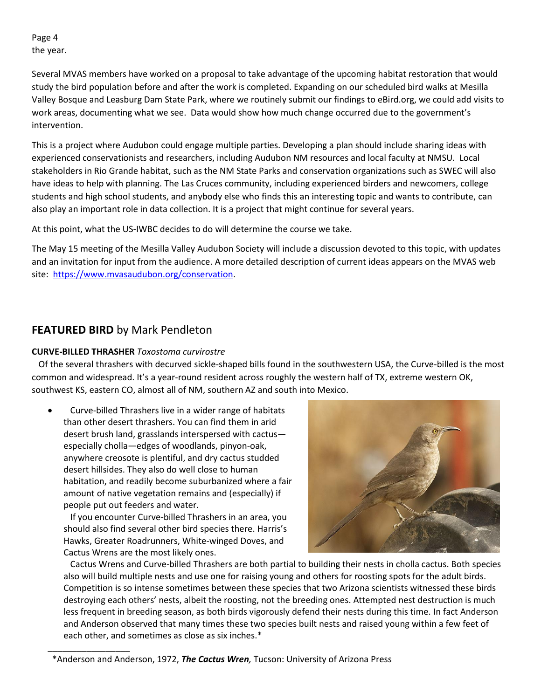Page 4 the year.

Several MVAS members have worked on a proposal to take advantage of the upcoming habitat restoration that would study the bird population before and after the work is completed. Expanding on our scheduled bird walks at Mesilla Valley Bosque and Leasburg Dam State Park, where we routinely submit our findings to eBird.org, we could add visits to work areas, documenting what we see. Data would show how much change occurred due to the government's intervention.

This is a project where Audubon could engage multiple parties. Developing a plan should include sharing ideas with experienced conservationists and researchers, including Audubon NM resources and local faculty at NMSU. Local stakeholders in Rio Grande habitat, such as the NM State Parks and conservation organizations such as SWEC will also have ideas to help with planning. The Las Cruces community, including experienced birders and newcomers, college students and high school students, and anybody else who finds this an interesting topic and wants to contribute, can also play an important role in data collection. It is a project that might continue for several years.

At this point, what the US-IWBC decides to do will determine the course we take.

The May 15 meeting of the Mesilla Valley Audubon Society will include a discussion devoted to this topic, with updates and an invitation for input from the audience. A more detailed description of current ideas appears on the MVAS web site: [https://www.mvasaudubon.org/conservation.](https://www.mvasaudubon.org/conservation)

# **FEATURED BIRD** by Mark Pendleton

\_\_\_\_\_\_\_\_\_\_\_\_\_\_\_\_\_

#### **CURVE-BILLED THRASHER** *Toxostoma curvirostre*

Of the several thrashers with decurved sickle-shaped bills found in the southwestern USA, the Curve-billed is the most common and widespread. It's a year-round resident across roughly the western half of TX, extreme western OK, southwest KS, eastern CO, almost all of NM, southern AZ and south into Mexico.

• Curve-billed Thrashers live in a wider range of habitats than other desert thrashers. You can find them in arid desert brush land, grasslands interspersed with cactus especially cholla—edges of woodlands, pinyon-oak, anywhere creosote is plentiful, and dry cactus studded desert hillsides. They also do well close to human habitation, and readily become suburbanized where a fair amount of native vegetation remains and (especially) if people put out feeders and water.

 If you encounter Curve-billed Thrashers in an area, you should also find several other bird species there. Harris's Hawks, Greater Roadrunners, White-winged Doves, and Cactus Wrens are the most likely ones.



 Cactus Wrens and Curve-billed Thrashers are both partial to building their nests in cholla cactus. Both species also will build multiple nests and use one for raising young and others for roosting spots for the adult birds. Competition is so intense sometimes between these species that two Arizona scientists witnessed these birds destroying each others' nests, albeit the roosting, not the breeding ones. Attempted nest destruction is much less frequent in breeding season, as both birds vigorously defend their nests during this time. In fact Anderson and Anderson observed that many times these two species built nests and raised young within a few feet of each other, and sometimes as close as six inches.\*

 <sup>\*</sup>Anderson and Anderson, 1972, *The Cactus Wren,* Tucson: University of Arizona Press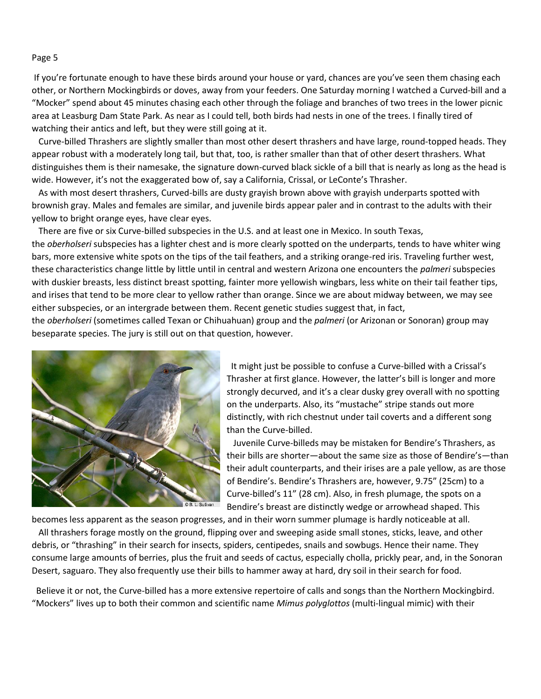#### Page 5

If you're fortunate enough to have these birds around your house or yard, chances are you've seen them chasing each other, or Northern Mockingbirds or doves, away from your feeders. One Saturday morning I watched a Curved-bill and a "Mocker" spend about 45 minutes chasing each other through the foliage and branches of two trees in the lower picnic area at Leasburg Dam State Park. As near as I could tell, both birds had nests in one of the trees. I finally tired of watching their antics and left, but they were still going at it.

 Curve-billed Thrashers are slightly smaller than most other desert thrashers and have large, round-topped heads. They appear robust with a moderately long tail, but that, too, is rather smaller than that of other desert thrashers. What distinguishes them is their namesake, the signature down-curved black sickle of a bill that is nearly as long as the head is wide. However, it's not the exaggerated bow of, say a California, Crissal, or LeConte's Thrasher.

 As with most desert thrashers, Curved-bills are dusty grayish brown above with grayish underparts spotted with brownish gray. Males and females are similar, and juvenile birds appear paler and in contrast to the adults with their yellow to bright orange eyes, have clear eyes.

 There are five or six Curve-billed subspecies in the U.S. and at least one in Mexico. In south Texas, the *oberholseri* subspecies has a lighter chest and is more clearly spotted on the underparts, tends to have whiter wing bars, more extensive white spots on the tips of the tail feathers, and a striking orange-red iris. Traveling further west, these characteristics change little by little until in central and western Arizona one encounters the *palmeri* subspecies with duskier breasts, less distinct breast spotting, fainter more yellowish wingbars, less white on their tail feather tips, and irises that tend to be more clear to yellow rather than orange. Since we are about midway between, we may see either subspecies, or an intergrade between them. Recent genetic studies suggest that, in fact,

the *oberholseri* (sometimes called Texan or Chihuahuan) group and the *palmeri* (or Arizonan or Sonoran) group may beseparate species. The jury is still out on that question, however.



It might just be possible to confuse a Curve-billed with a Crissal's Thrasher at first glance. However, the latter's bill is longer and more strongly decurved, and it's a clear dusky grey overall with no spotting on the underparts. Also, its "mustache" stripe stands out more distinctly, with rich chestnut under tail coverts and a different song than the Curve-billed.

 Juvenile Curve-billeds may be mistaken for Bendire's Thrashers, as their bills are shorter—about the same size as those of Bendire's—than their adult counterparts, and their irises are a pale yellow, as are those of Bendire's. Bendire's Thrashers are, however, 9.75" (25cm) to a Curve-billed's 11" (28 cm). Also, in fresh plumage, the spots on a Bendire's breast are distinctly wedge or arrowhead shaped. This

becomes less apparent as the season progresses, and in their worn summer plumage is hardly noticeable at all.

 All thrashers forage mostly on the ground, flipping over and sweeping aside small stones, sticks, leave, and other debris, or "thrashing" in their search for insects, spiders, centipedes, snails and sowbugs. Hence their name. They consume large amounts of berries, plus the fruit and seeds of cactus, especially cholla, prickly pear, and, in the Sonoran Desert, saguaro. They also frequently use their bills to hammer away at hard, dry soil in their search for food.

Believe it or not, the Curve-billed has a more extensive repertoire of calls and songs than the Northern Mockingbird. "Mockers" lives up to both their common and scientific name *Mimus polyglottos* (multi-lingual mimic) with their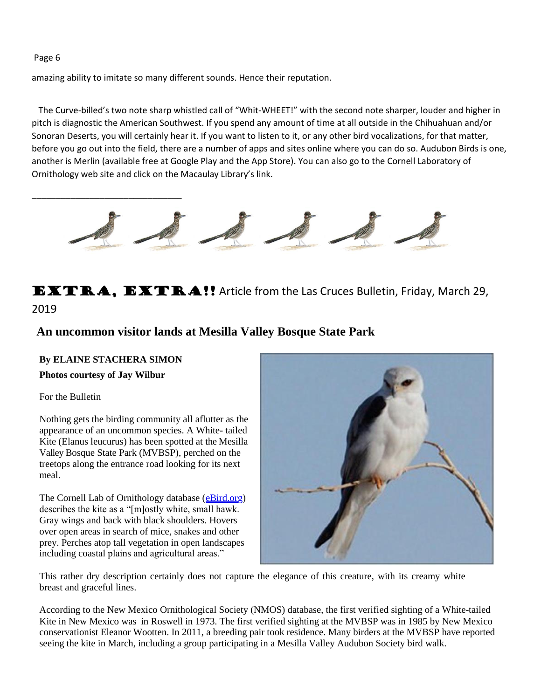Page 6

amazing ability to imitate so many different sounds. Hence their reputation.

The Curve-billed's two note sharp whistled call of "Whit-WHEET!" with the second note sharper, louder and higher in pitch is diagnostic the American Southwest. If you spend any amount of time at all outside in the Chihuahuan and/or Sonoran Deserts, you will certainly hear it. If you want to listen to it, or any other bird vocalizations, for that matter, before you go out into the field, there are a number of apps and sites online where you can do so. Audubon Birds is one, another is Merlin (available free at Google Play and the App Store). You can also go to the Cornell Laboratory of Ornithology web site and click on the Macaulay Library's link.



**EXTRA, EXTRA!!** Article from the Las Cruces Bulletin, Friday, March 29, 2019

# **An uncommon visitor lands at Mesilla Valley Bosque State Park**

#### **By ELAINE STACHERA SIMON**

\_\_\_\_\_\_\_\_\_\_\_\_\_\_\_\_\_\_\_\_\_\_\_\_\_\_\_\_\_\_\_

#### **Photos courtesy of Jay Wilbur**

#### For the Bulletin

Nothing gets the birding community all aflutter as the appearance of an uncommon species. A White- tailed Kite (Elanus leucurus) has been spotted at the Mesilla Valley Bosque State Park (MVBSP), perched on the treetops along the entrance road looking for its next meal.

The Cornell Lab of Ornithology database (eBird.org) describes the kite as a "[m]ostly white, small hawk. Gray wings and back with black shoulders. Hovers over open areas in search of mice, snakes and other prey. Perches atop tall vegetation in open landscapes including coastal plains and agricultural areas."



This rather dry description certainly does not capture the elegance of this creature, with its creamy white breast and graceful lines.

According to the New Mexico Ornithological Society (NMOS) database, the first verified sighting of a White-tailed Kite in New Mexico was in Roswell in 1973. The first verified sighting at the MVBSP was in 1985 by New Mexico conservationist Eleanor Wootten. In 2011, a breeding pair took residence. Many birders at the MVBSP have reported seeing the kite in March, including a group participating in a Mesilla Valley Audubon Society bird walk.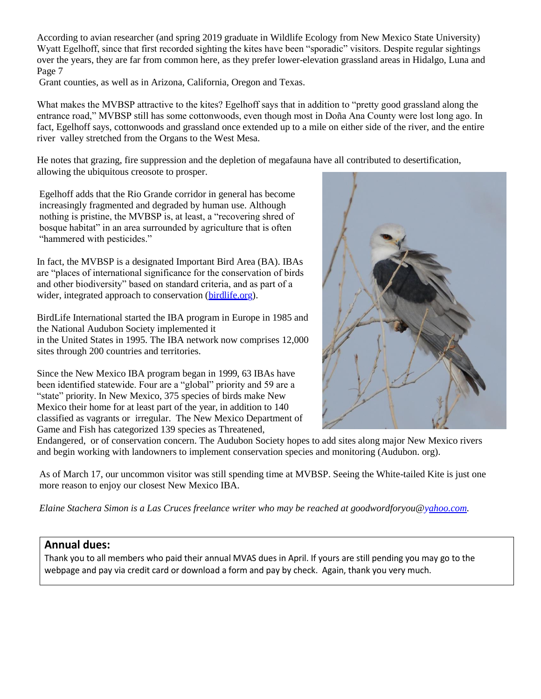According to avian researcher (and spring 2019 graduate in Wildlife Ecology from New Mexico State University) Wyatt Egelhoff, since that first recorded sighting the kites have been "sporadic" visitors. Despite regular sightings over the years, they are far from common here, as they prefer lower-elevation grassland areas in Hidalgo, Luna and Page 7

Grant counties, as well as in Arizona, California, Oregon and Texas.

What makes the MVBSP attractive to the kites? Egelhoff says that in addition to "pretty good grassland along the entrance road," MVBSP still has some cottonwoods, even though most in Doña Ana County were lost long ago. In fact, Egelhoff says, cottonwoods and grassland once extended up to a mile on either side of the river, and the entire river valley stretched from the Organs to the West Mesa.

He notes that grazing, fire suppression and the depletion of megafauna have all contributed to desertification, allowing the ubiquitous creosote to prosper.

Egelhoff adds that the Rio Grande corridor in general has become increasingly fragmented and degraded by human use. Although nothing is pristine, the MVBSP is, at least, a "recovering shred of bosque habitat" in an area surrounded by agriculture that is often "hammered with pesticides."

In fact, the MVBSP is a designated Important Bird Area (BA). IBAs are "places of international significance for the conservation of birds and other biodiversity" based on standard criteria, and as part of a wider, integrated approach to conservation (birdlife.org).

BirdLife International started the IBA program in Europe in 1985 and the National Audubon Society implemented it in the United States in 1995. The IBA network now comprises 12,000 sites through 200 countries and territories.

Since the New Mexico IBA program began in 1999, 63 IBAs have been identified statewide. Four are a "global" priority and 59 are a "state" priority. In New Mexico, 375 species of birds make New Mexico their home for at least part of the year, in addition to 140 classified as vagrants or irregular. The New Mexico Department of Game and Fish has categorized 139 species as Threatened,



Endangered, or of conservation concern. The Audubon Society hopes to add sites along major New Mexico rivers and begin working with landowners to implement conservation species and monitoring (Audubon. org).

As of March 17, our uncommon visitor was still spending time at MVBSP. Seeing the White-tailed Kite is just one more reason to enjoy our closest New Mexico IBA.

*Elaine Stachera Simon is a Las Cruces freelance writer who may be reached at goodwordforyou@yahoo.com.*

#### **Annual dues:**

Thank you to all members who paid their annual MVAS dues in April. If yours are still pending you may go to the webpage and pay via credit card or download a form and pay by check. Again, thank you very much.